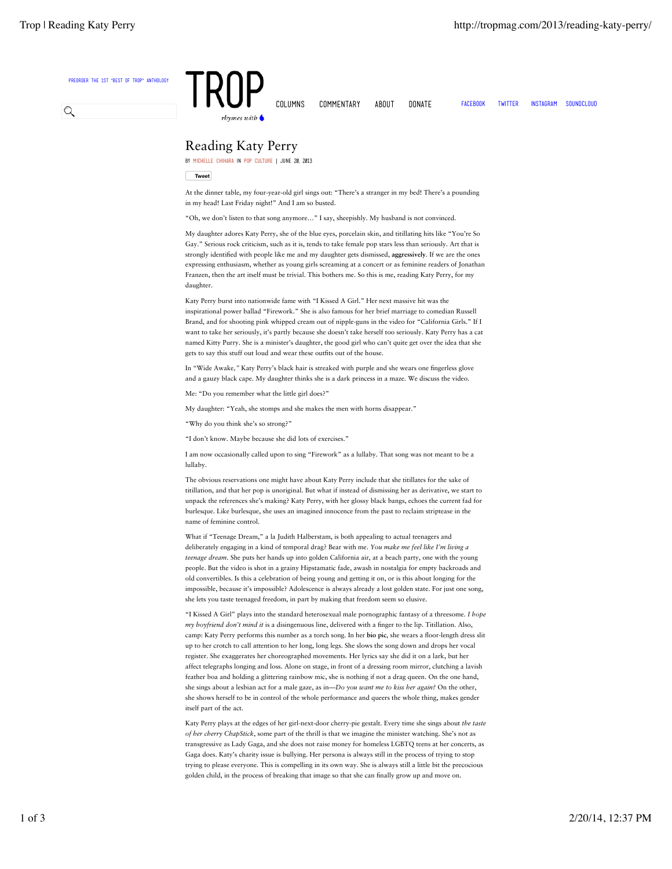

## Reading Katy Perry

by Michelle Chihara in Pop Culture | June 20, 2013

**Tweet**

At the dinner table, my four-year-old girl sings out: "There's a stranger in my bed! There's a pounding in my head! Last Friday night!" And I am so busted.

"Oh, we don't listen to that song anymore…" I say, sheepishly. My husband is not convinced.

My daughter adores Katy Perry, she of the blue eyes, porcelain skin, and titillating hits like "You're So Gay." Serious rock criticism, such as it is, tends to take female pop stars less than seriously. Art that is strongly identified with people like me and my daughter gets dismissed, aggressively. If we are the ones expressing enthusiasm, whether as young girls screaming at a concert or as feminine readers of Jonathan Franzen, then the art itself must be trivial. This bothers me. So this is me, reading Katy Perry, for my daughter.

Katy Perry burst into nationwide fame with "I Kissed A Girl." Her next massive hit was the inspirational power ballad "Firework." She is also famous for her brief marriage to comedian Russell Brand, and for shooting pink whipped cream out of nipple-guns in the video for "California Girls." If I want to take her seriously, it's partly because she doesn't take herself too seriously. Katy Perry has a cat named Kitty Purry. She is a minister's daughter, the good girl who can't quite get over the idea that she gets to say this stuff out loud and wear these outfits out of the house

In "Wide Awake*,"* Katy Perry's black hair is streaked with purple and she wears one fingerless glove and a gauzy black cape. My daughter thinks she is a dark princess in a maze*.* We discuss the video.

Me: "Do you remember what the little girl does?"

My daughter: "Yeah, she stomps and she makes the men with horns disappear."

- "Why do you think she's so strong?"
- "I don't know. Maybe because she did lots of exercises."

I am now occasionally called upon to sing "Firework" as a lullaby. That song was not meant to be a lullaby.

The obvious reservations one might have about Katy Perry include that she titillates for the sake of titillation, and that her pop is unoriginal. But what if instead of dismissing her as derivative, we start to unpack the references she's making? Katy Perry, with her glossy black bangs, echoes the current fad for burlesque. Like burlesque, she uses an imagined innocence from the past to reclaim striptease in the name of feminine control.

What if "Teenage Dream," a la Judith Halberstam, is both appealing to actual teenagers and deliberately engaging in a kind of temporal drag? Bear with me. *You make me feel like I'm living a teenage dream*. She puts her hands up into golden California air, at a beach party, one with the young people. But the video is shot in a grainy Hipstamatic fade, awash in nostalgia for empty backroads and old convertibles. Is this a celebration of being young and getting it on, or is this about longing for the impossible, because it's impossible? Adolescence is always already a lost golden state. For just one song, she lets you taste teenaged freedom, in part by making that freedom seem so elusive.

"I Kissed A Girl" plays into the standard heterosexual male pornographic fantasy of a threesome. *I hope my boyfriend don't mind it* is a disingenuous line, delivered with a finger to the lip. Titillation. Also, camp: Katy Perry performs this number as a torch song. In her bio pic, she wears a floor-length dress slit up to her crotch to call attention to her long, long legs. She slows the song down and drops her vocal register. She exaggerates her choreographed movements. Her lyrics say she did it on a lark, but her affect telegraphs longing and loss. Alone on stage, in front of a dressing room mirror, clutching a lavish feather boa and holding a glittering rainbow mic, she is nothing if not a drag queen. On the one hand, she sings about a lesbian act for a male gaze, as in—*Do you want me to kiss her again?* On the other, she shows herself to be in control of the whole performance and queers the whole thing, makes gender itself part of the act.

Katy Perry plays at the edges of her girl-next-door cherry-pie gestalt. Every time she sings about *the taste of her cherry ChapStick*, some part of the thrill is that we imagine the minister watching. She's not as transgressive as Lady Gaga, and she does not raise money for homeless LGBTQ teens at her concerts, as Gaga does. Katy's charity issue is bullying. Her persona is always still in the process of trying to stop trying to please everyone. This is compelling in its own way. She is always still a little bit the precocious golden child, in the process of breaking that image so that she can finally grow up and move on.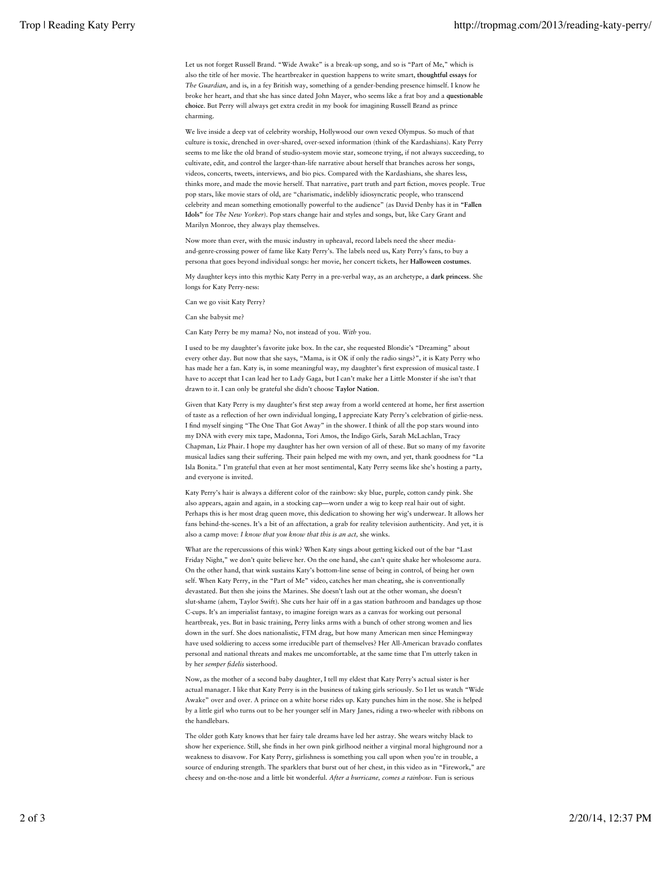Let us not forget Russell Brand. "Wide Awake" is a break-up song, and so is "Part of Me," which is also the title of her movie. The heartbreaker in question happens to write smart, thoughtful essays for *The Guardian*, and is, in a fey British way, something of a gender-bending presence himself*.* I know he broke her heart, and that she has since dated John Mayer, who seems like a frat boy and a questionable choice. But Perry will always get extra credit in my book for imagining Russell Brand as prince charming.

We live inside a deep vat of celebrity worship, Hollywood our own vexed Olympus. So much of that culture is toxic, drenched in over-shared, over-sexed information (think of the Kardashians). Katy Perry seems to me like the old brand of studio-system movie star, someone trying, if not always succeeding, to cultivate, edit, and control the larger-than-life narrative about herself that branches across her songs, videos, concerts, tweets, interviews, and bio pics. Compared with the Kardashians, she shares less, thinks more, and made the movie herself. That narrative, part truth and part fiction, moves people. True pop stars, like movie stars of old, are "charismatic, indelibly idiosyncratic people, who transcend celebrity and mean something emotionally powerful to the audience" (as David Denby has it in "Fallen Idols" for *The New Yorker*). Pop stars change hair and styles and songs, but, like Cary Grant and Marilyn Monroe, they always play themselves.

Now more than ever, with the music industry in upheaval, record labels need the sheer mediaand-genre-crossing power of fame like Katy Perry's. The labels need us, Katy Perry's fans, to buy a persona that goes beyond individual songs: her movie, her concert tickets, her Halloween costumes.

My daughter keys into this mythic Katy Perry in a pre-verbal way, as an archetype, a dark princess. She longs for Katy Perry-ness:

Can we go visit Katy Perry?

Can she babysit me?

Can Katy Perry be my mama? No, not instead of you. *With* you.

I used to be my daughter's favorite juke box. In the car, she requested Blondie's "Dreaming" about every other day. But now that she says, "Mama, is it OK if only the radio sings?", it is Katy Perry who has made her a fan. Katy is, in some meaningful way, my daughter's first expression of musical taste. I have to accept that I can lead her to Lady Gaga, but I can't make her a Little Monster if she isn't that drawn to it. I can only be grateful she didn't choose Taylor Nation.

Given that Katy Perry is my daughter's first step away from a world centered at home, her first assertion of taste as a reflection of her own individual longing, I appreciate Katy Perry's celebration of girlie-ness. I find myself singing "The One That Got Away" in the shower. I think of all the pop stars wound into my DNA with every mix tape, Madonna, Tori Amos, the Indigo Girls, Sarah McLachlan, Tracy Chapman, Liz Phair. I hope my daughter has her own version of all of these. But so many of my favorite musical ladies sang their suffering. Their pain helped me with my own, and yet, thank goodness for "La Isla Bonita." I'm grateful that even at her most sentimental, Katy Perry seems like she's hosting a party, and everyone is invited.

Katy Perry's hair is always a different color of the rainbow: sky blue, purple, cotton candy pink. She also appears, again and again, in a stocking cap—worn under a wig to keep real hair out of sight. Perhaps this is her most drag queen move, this dedication to showing her wig's underwear. It allows her fans behind-the-scenes. It's a bit of an affectation, a grab for reality television authenticity. And yet, it is also a camp move: *I know that you know that this is an act,* she winks.

What are the repercussions of this wink? When Katy sings about getting kicked out of the bar "Last Friday Night," we don't quite believe her. On the one hand, she can't quite shake her wholesome aura. On the other hand, that wink sustains Katy's bottom-line sense of being in control, of being her own self. When Katy Perry, in the "Part of Me" video, catches her man cheating, she is conventionally devastated. But then she joins the Marines. She doesn't lash out at the other woman, she doesn't slut-shame (ahem, Taylor Swift). She cuts her hair off in a gas station bathroom and bandages up those C-cups. It's an imperialist fantasy, to imagine foreign wars as a canvas for working out personal heartbreak, yes. But in basic training, Perry links arms with a bunch of other strong women and lies down in the surf. She does nationalistic, FTM drag, but how many American men since Hemingway have used soldiering to access some irreducible part of themselves? Her All-American bravado conflates personal and national threats and makes me uncomfortable, at the same time that I'm utterly taken in by her *semper* fi*delis* sisterhood.

Now, as the mother of a second baby daughter, I tell my eldest that Katy Perry's actual sister is her actual manager. I like that Katy Perry is in the business of taking girls seriously. So I let us watch "Wide Awake" over and over. A prince on a white horse rides up. Katy punches him in the nose. She is helped by a little girl who turns out to be her younger self in Mary Janes, riding a two-wheeler with ribbons on the handlebars.

The older goth Katy knows that her fairy tale dreams have led her astray. She wears witchy black to show her experience. Still, she finds in her own pink girlhood neither a virginal moral highground nor a weakness to disavow. For Katy Perry, girlishness is something you call upon when you're in trouble, a source of enduring strength. The sparklers that burst out of her chest, in this video as in "Firework," are cheesy and on-the-nose and a little bit wonderful. *After a hurricane, comes a rainbow.* Fun is serious